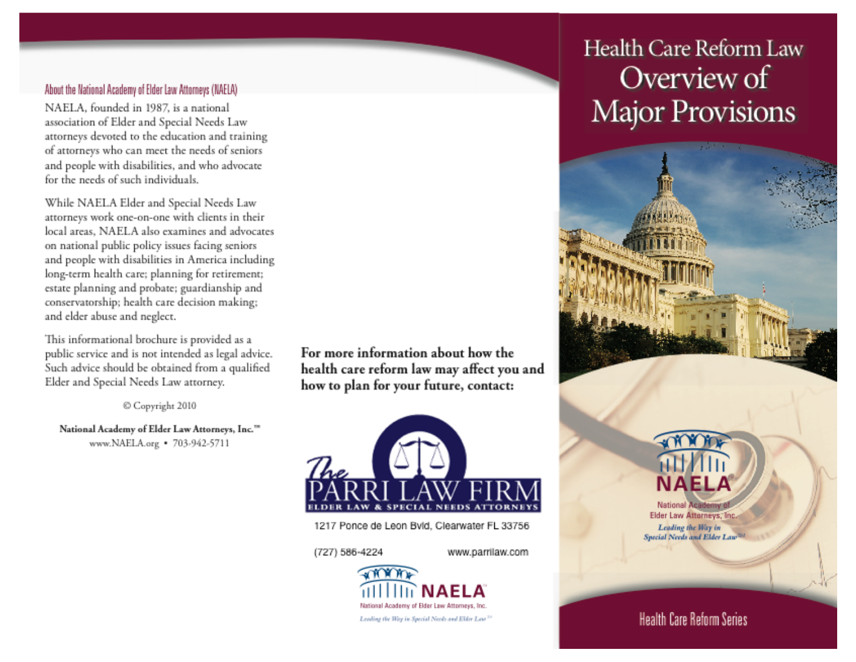### About the National Academy of Elder Law Attorneys (NAELA)

NAELA, founded in 1987, is a national association of Elder and Special Needs Law attorneys devoted to the education and training of attorneys who can meet the needs of seniors and people with disabilities, and who advocate for the needs of such individuals.

While NAELA Elder and Special Needs Law attorneys work one-on-one with clients in their local areas. NAELA also examines and advocates on national public policy issues facing seniors and people with disabilities in America including long-term health care; planning for retirement; estate planning and probate; guardianship and conservatorship; health care decision making; and elder abuse and neglect.

This informational brochure is provided as a public service and is not intended as legal advice. Such advice should be obtained from a qualified Elder and Special Needs Law attorney.

Copyright 2010

National Academy of Elder Law Attorneys, Inc.™ www.NAELA.org • 703-942-5711

For more information about how the health care reform law may affect you and how to plan for your future, contact:



1217 Ponce de Leon Bvld, Clearwater FL 33756

(727) 586-4224

www.parrilaw.com



# Health Care Reform Law Overview of **Major Provisions**





**National Academ** Elder Law Attorneys, Inc. Leading the Way in Special Needs and Elder Law

### **Health Care Reform Series**